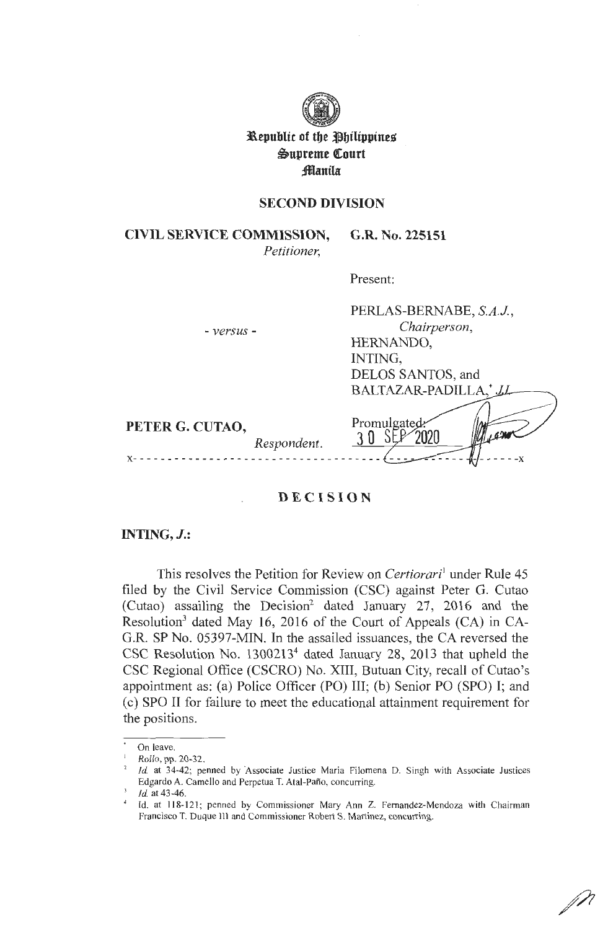

**Republic of the Philippines ~upreme QCourt ;fflantla** 

## **SECOND DIVISION**

**CIVIL SERVICE COMMISSION, G.R. No. 225151**  *Petitioner,* 

Present:

| - versus -                     | PERLAS-BERNABE, S.A.J.,<br>Chairperson,<br>HERNANDO,<br>INTING,<br>DELOS SANTOS, and |
|--------------------------------|--------------------------------------------------------------------------------------|
|                                | BALTAZAR-PADILLA,* J.                                                                |
| PETER G. CUTAO,<br>Respondent. | Promulgated                                                                          |
|                                |                                                                                      |

# **DECISION**

### **INTING,J.:**

This resolves the Petition for Review on *Certiorari*<sup>1</sup> under Rule 45 filed by the Civil Service Commission (CSC) against Peter G. Cutao (Cutao) assailing the Decision<sup>2</sup> dated January 27, 2016 and the Resolution<sup>3</sup> dated May 16, 2016 of the Court of Appeals (CA) in CA-G.R. SP No. 05397-MIN. In the assailed issuances, the CA reversed the CSC Resolution No. 13002134 dated January 28, 2013 that upheld the CSC Regional Office (CSCRO) No. XIII, Butuan City, recall of Cutao's appointment as: (a) Police Officer (PO) III; (b) Senior PO (SPO) I; and ( c) SPO II for failure to meet the educational attainment requirement for the positions.

On leave.

<sup>1</sup> *Rollo,* pp. 20-32.

<sup>2</sup>*Id.* at 34-42; penned by Associate Justice Maria Filomena D. Singh with Associate Justices Edgardo A. Camello and Perpetua T. Atal-Paño, concurring. *Id.* at 43-46.

<sup>&</sup>lt;sup>4</sup> Id. at 118-121; penned by Commissioner Mary Ann Z. Fernandez-Mendoza with Chairman Francisco T. Duque Ill and Commissioner Robert S. Martinez, concurring.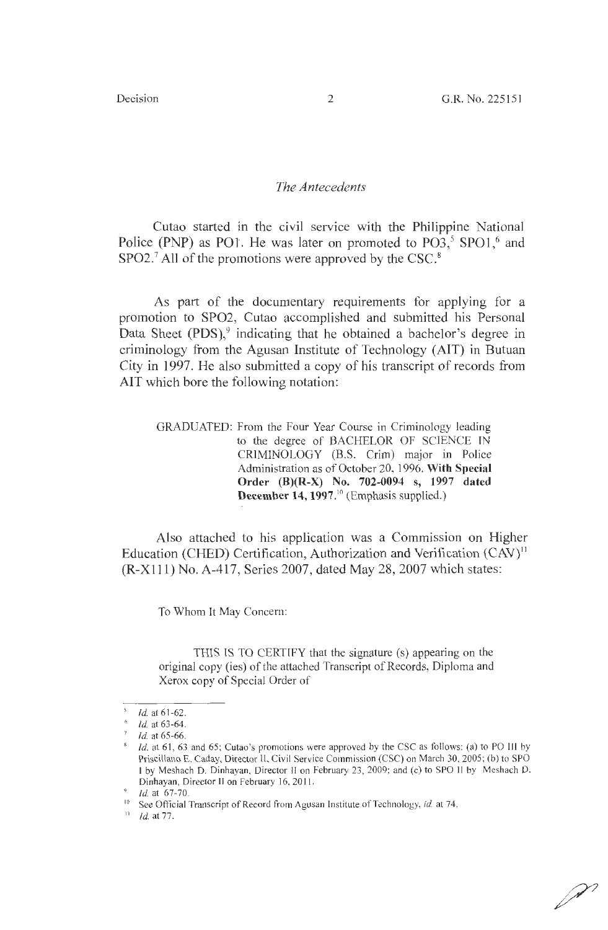## *The Antecedents*

Cutao started in the civil service with the Philippine National Police (PNP) as PO1. He was later on promoted to PO3,<sup>5</sup> SPO1,<sup>6</sup> and  $SPO2.<sup>7</sup>$  All of the promotions were approved by the CSC.<sup>8</sup>

As part of the documentary requirements for applying for a promotion to SPO2, Cutao accomplished and submitted his Personal Data Sheet  $(PDS)$ , indicating that he obtained a bachelor's degree in criminology from the Agusan Institute of Technology (AIT) in Butuan City in 1997. He also submitted a copy of his transcript of records from AIT which bore the following notation:

GRADUATED: From the Four Year Course in Criminology leading to the degree of BACHELOR OF SCIENCE IN CRJMINOLOGY (B.S. Crim) major in Police Administration as of October 20, 1996. **With Special Order (B)(R-X) No. 702-0094 s, 1997 dated December 14, 1997.**<sup>10</sup> (Emphasis supplied.)

Also attached to his application was a Commission on Higher Education (CHED) Certification, Authorization and Verification (CAV)<sup>11</sup> (R-Xlll) No. A-417, Series 2007, dated May 28, 2007 which states:

To Whom It May Concern:

THIS IS TO CERTIFY that the signature (s) appearing on the original copy (ies) of the attached Transcript of Records, Diploma and Xerox copy of Special Order of

 $11$  *Id.* at 77.

P

 $\frac{1}{6}$  *Id.* at 61-62.<br><sup>6</sup> *Id.* at 63-64.

 $1d.$  at 65-66.

<sup>&</sup>lt;sup>8</sup> Id. at 61, 63 and 65; Cutao's promotions were approved by the CSC as follows: (a) to PO III by Priscillano E. Caday, Director II, Civil Service Commission (CSC) on March 30, 2005; (b) to SPO I by Meshach D. Dinhayan, Director II on February 23, 2009; and (c) to SPO II by Meshach D. Dinhayan, Director II on February 16, 2011.

Id. at 67-70.

 $10$  See Official Transcript of Record from Agusan Institute of Technology, id. at 74.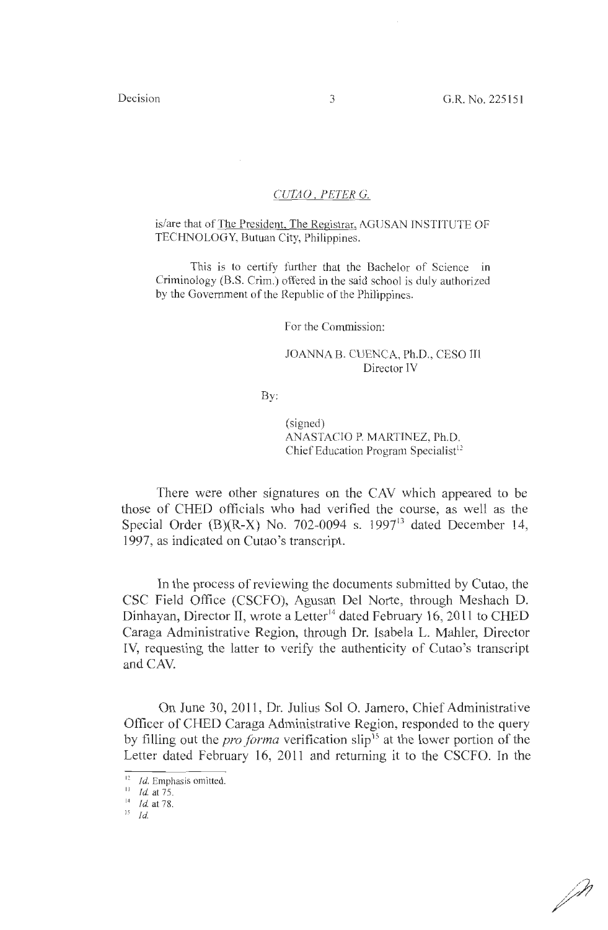#### *CUTAO. PETER* G.

#### is/are that of The President, The Registrar, AGUSAN INSTITUTE OF TECHNOLOGY, Butuan City, Philippines.

This is to certify further that the Bachelor of Science in Criminology **(B.S.** Crim.) offered in the said school is duly authorized by the Government of the Republic of the Philippines.

For the Commission:

### JOANNA B. CUENCA, Ph.D., CESO III Director IV

By:

(signed) ANASTACIO P. MARTINEZ, Ph.D. Chief Education Program Specialist<sup>12</sup>

There were other signatures on the CAV which appeared to be those of CHED officials who had verified the course, as well as the Special Order (B)(R-X) No. 702-0094 s. 1997 $<sup>13</sup>$  dated December 14,</sup> 1997, as indicated on Cutao 's transcript.

In the process of reviewing the documents submitted by Cutao, the CSC Field Office (CSCFO), Agusan Del Norte, through Meshach D. Dinhayan, Director II, wrote a Letter<sup>14</sup> dated February 16, 2011 to CHED Caraga Administrative Region, through Dr. Isabela L. Mahler, Director IV, requesting the latter to verify the authenticity of Cutao's transcript and CAV.

On June 30, 2011, Dr. Julius Sol 0. Jamero, Chief Administrative Officer of CHED Caraga Administrative Region, responded to the query by filling out the *pro forma* verification slip<sup>15</sup> at the lower portion of the Letter dated February 16, 2011 and returning it to the CSCFO. In the

J.W

<sup>&</sup>lt;sup>12</sup> *Id.* Emphasis omitted. <sup>13</sup> *Id.* at 75.

 $14$  Id. at 78.

 $15$  Id.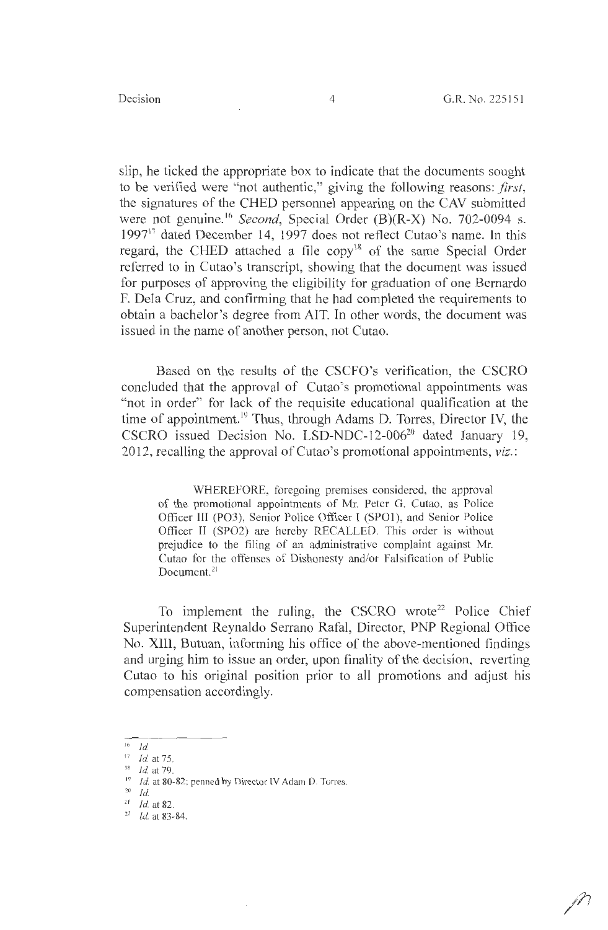slip, he ticked the appropriate box to indicate that the documents sought to be verified were "not authentic," giving the following reasons: *first,*  the signatures of the CHED personnel appearing on the CAY submitted were not genuine. <sup>16</sup>*Second,* Special Order **(B)(R-X)** No. 702-0094 s. 1997<sup>17</sup> dated December 14, 1997 does not reflect Cutao's name. In this regard, the CHED attached a file  $copy<sup>18</sup>$  of the same Special Order referred to in Cutao's transcript, showing that the document was issued for purposes of approving the eligibility for graduation of one Bernardo F. Dela Cruz, and confirming that he had completed the requirements to obtain a bachelor's degree from AIT. In other words, the document was issued in the name of another person, not Cutao.

Based on the results of the CSCFO's verification, the CSCRO concluded that the approval of Cutao's promotional appointments was "not in order" for lack of the requisite educational qualification at the time of appointment.<sup>19</sup> Thus, through Adams D. Torres, Director IV, the CSCRO issued Decision No. LSD-NDC-12-006 $^{20}$  dated January 19, 2012, recalling the approval of Cutao's promotional appointments, *viz.:* 

WHEREFORE, foregoing premises considered, the approval of the promotional appointments of Mr. Peter G. Cutao, as Police Officer III (PO3), Senior Police Officer I (SPO1), and Senior Police Officer II (SPO2) are hereby RECALLED. This order is without prejudice to the filing of an administrative complaint against Mr. Cutao for the offenses of Dishonesty and/or Falsification of Public Document.<sup>21</sup>

To implement the ruling, the CSCRO wrote<sup>22</sup> Police Chief Superintendent Reynaldo Serrano Rafal, Director, PNP Regional Office No. XIII, Butuan, informing his office of the above-mentioned findings and urging him to issue an order, upon finality of the decision, reverting Cutao to his original position prior to all promotions and adjust his compensation accordingly.

<sup>16</sup>Id.

<sup>17</sup>*Id.* at 75.

 $18$  Id. at 79.

 $19$  Id. at 80-82; penned by Director IV Adam D. Torres.

 $^{20}$  Id.

<sup>21</sup>*Id.* at 82. 22 *Id.* at 83-84.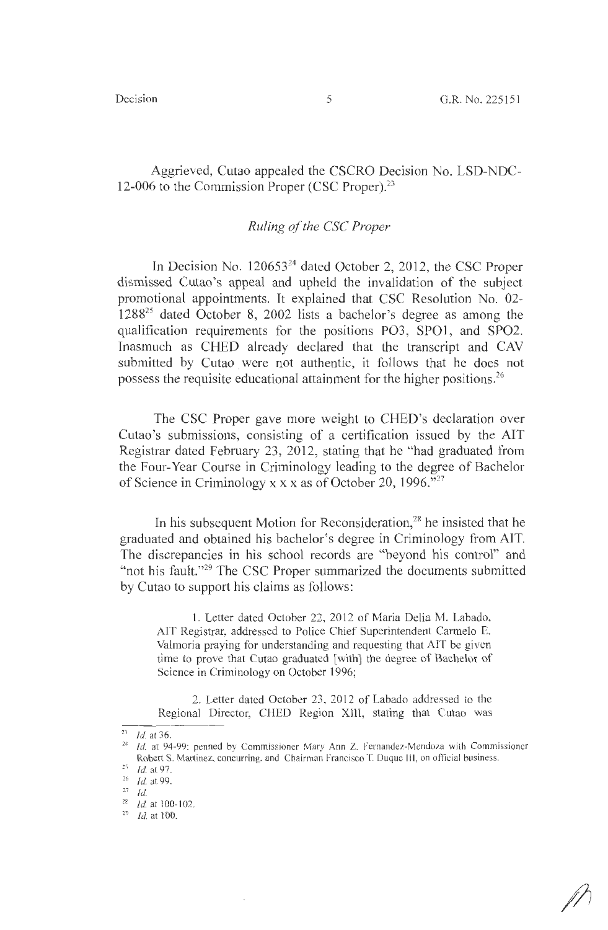Aggrieved, Cutao appealed the CSCRO Decision No. LSD-NDC-12-006 to the Commission Proper (CSC Proper).<sup>23</sup>

### *Ruling of the* CSC *Proper*

In Decision No. 120653<sup>24</sup> dated October 2, 2012, the CSC Proper dismissed Cutao's appeal and upheld the invalidation of the subject promotional appointments. It explained that CSC Resolution No. 02- 128825 dated October 8, 2002 lists a bachelor's degree as among the qualification requirements for the positions PO3, SPOl, and SPO2. Inasmuch as CHED already declared that the transcript and CAV submitted by Cutao were not authentic, it follows that he does not possess the requisite educational attainment for the higher positions.<sup>26</sup>

The CSC Proper gave more weight to CHED's declaration over Cutao's submissions, consisting of a certification issued by the AIT Registrar dated February 23, 2012, stating that he "had graduated from the Four-Year Course in Criminology leading to the degree of Bachelor of Science in Criminology xx x as of October 20, 1996."27

In his subsequent Motion for Reconsideration, 28 he insisted that he graduated and obtained his bachelor's degree in Criminology from AIT. The discrepancies in his school records are "beyond his control" and "not his fault."<sup>29</sup> The CSC Proper summarized the documents submitted by Cutao to support his claims as follows:

1. Letter dated October 22, 2012 of Maria Delia M. Labado, AIT Registrar, addressed to Police Chief Superintendent Carmelo E. Valmoria praying for understanding and requesting that AIT be given time to prove that Cutao graduated [with] the degree of Bachelor of Science in Criminology on October 1996;

2. Letter dated October 23, 2012 of Labado addressed to the Regional Director, CHED Region XIII, stating that Cutao was

<sup>&</sup>lt;sup>23</sup> *Id.* at 36. 24 Id. at 94-99; penned by Commissioner Mary Ann Z. Fernandez-Mendoza with Commissioner Robert S. Martinez, concurring. and Chairman Francisco T. Duque III, on official business. Id. at 97.

 $\frac{1}{26}$  *Id.* at 99.

 $^{28}$  Id. at 100-102.

 $^{29}$   $\,$   $Id.$  at 100.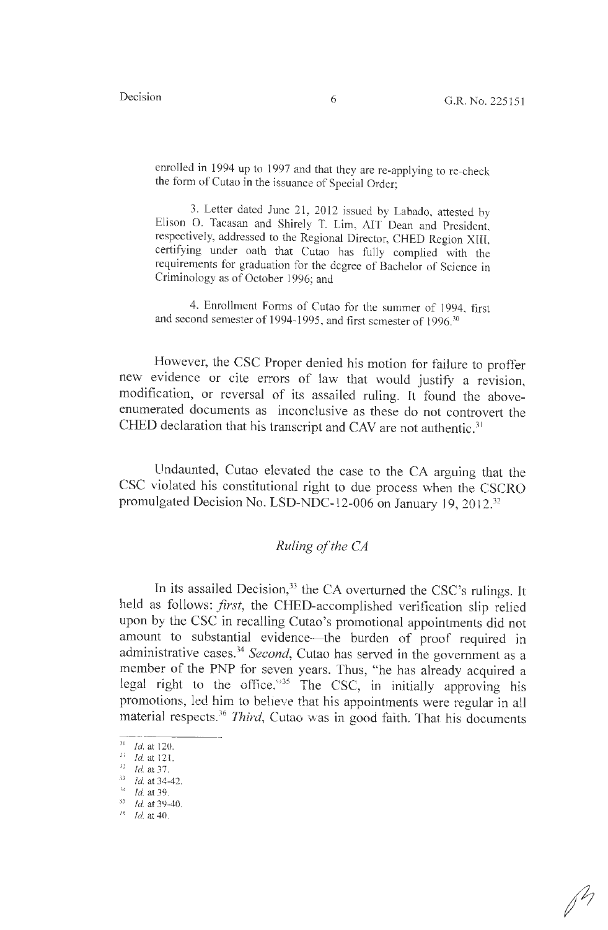enrolled in 1994 up to 1997 and that they are re-applying to re-check the form of Cutao in the issuance of Special Order;

3. Letter dated June 21, 2012 issued by Labado, attested by Elison 0. Tacasan and Shirely T. Lim, AIT Dean and President, respectively, addressed to the Regional Director, CHED Region XIII, certifying under oath that Cutao has fully complied with the requirements for graduation for the degree of Bachelor of Science in Criminology as of October 1996; and

4. Enrollment Forms of Cutao for the summer of 1994, first and second semester of 1994-1995, and first semester of 1996.<sup>30</sup>

However, the CSC Proper denied his motion for failure to proffer new evidence or cite errors of law that would justify a revision, modification, or reversal of its assailed ruling. It found the aboveenumerated documents as inconclusive as these do not controvert the CHED declaration that his transcript and CAV are not authentic.<sup>31</sup>

Undaunted, Cutao elevated the case to the CA arguing that the CSC violated his constitutional right to due process when the CSCRO promulgated Decision No. LSD-NDC-12-006 on January 19, 2012.<sup>32</sup>

# *Ruling of the CA*

In its assailed Decision,  $33$  the CA overturned the CSC's rulings. It held as follows: *first,* the CHED-accomplished verification slip relied upon by the CSC in recalling Cutao's promotional appointments did not amount to substantial evidence-the burden of proof required in administrative cases.<sup>34</sup> Second, Cutao has served in the government as a member of the PNP for seven years. Thus, "he has already acquired a legal right to the office.<sup>335</sup> The CSC, in initially approving his promotions, led him to believe that his appointments were regular in all material respects.<sup>36</sup> Third, Cutao was in good faith. That his documents

 $rac{30}{3}$ *Id.* at 120.  $\frac{1}{4}$  at 121.

 $32$  Id. at 37.

<sup>&</sup>lt;sup>33</sup> *Id.* at 34-42.<br><sup>34</sup> *Id.* at 39.<br><sup>35</sup> *Id.* at 39-40.

<sup>&#</sup>x27; <sup>6</sup>*!d.* at 40.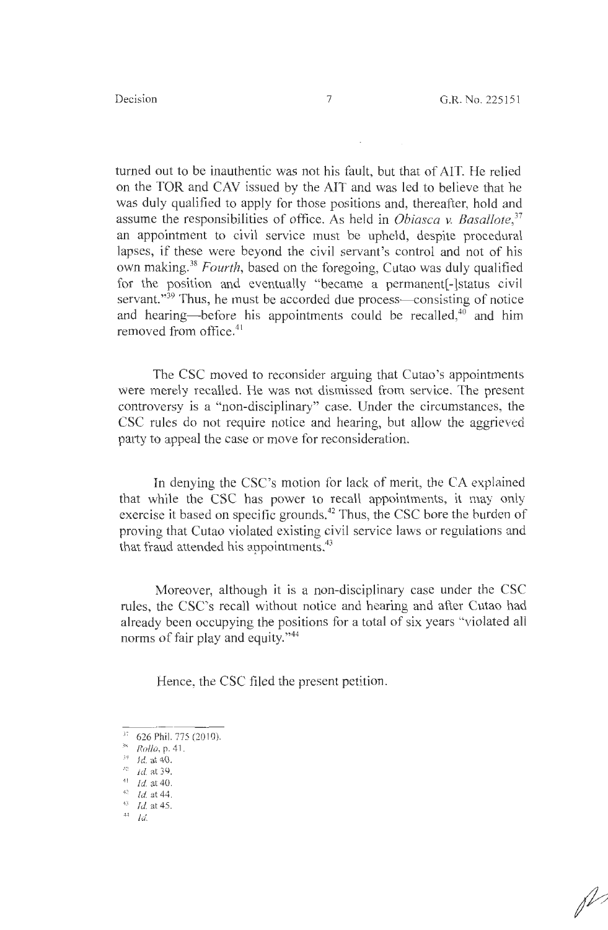turned out to be inauthentic was not his fault, but that of AIT. He relied on the TOR and CAY issued by the AIT and was led to believe that he was duly qualified to apply for those positions and, thereafter, hold and assume the responsibilities of office. As held in *Obiasca v. Basallote, 37*  an appointment to civil service must be upheld, despite procedural lapses, if these were beyond the civil servant's control and not of his own making.<sup>38</sup>*Fourth,* based on the foregoing, Cutao was duly qualified for the position and eventually "became a permanent<sup>[</sup>-]status civil servant."<sup>39</sup> Thus, he must be accorded due process- consisting of notice and hearing—before his appointments could be recalled,<sup>40</sup> and him removed from office.<sup>41</sup>

The CSC moved to reconsider arguing that Cutao's appointments were merely recalled. He was not dismissed from service. The present controversy is a "non-disciplinary" case. Under the circumstances, the CSC rules do not require notice and hearing, but allow the aggrieved party to appeal the case or move for reconsideration.

In denying the CSC's motion for lack of merit, the CA explained that while the CSC has power to recall appointments, it may only exercise it based on specific grounds.<sup>42</sup> Thus, the CSC bore the burden of proving that Cutao violated existing civil service laws or regulations and that fraud attended his appointments.<sup>43</sup>

Moreover, although it is a non-disciplinary case under the CSC rules, the CSC's recall without notice and hearing and after Cutao had already been occupying the positions for a total of six years "violated all norms of fair play and equity."<sup>44</sup>

Hence, the CSC filed the present petition.

<sup>&</sup>lt;sup>37</sup> 626 Phil. 775 (2010).

<sup>&</sup>lt;sup>38</sup> *Rollo*, p. 41.

 $\frac{39}{40}$  *Id.* at 40.<br> $\frac{40}{10}$  at 39.

<sup>&</sup>lt;sup>41</sup> *Id.* at 40.

<sup>42</sup>*Id.* at 44. *43 Id.* at 45.

 $44$  Id.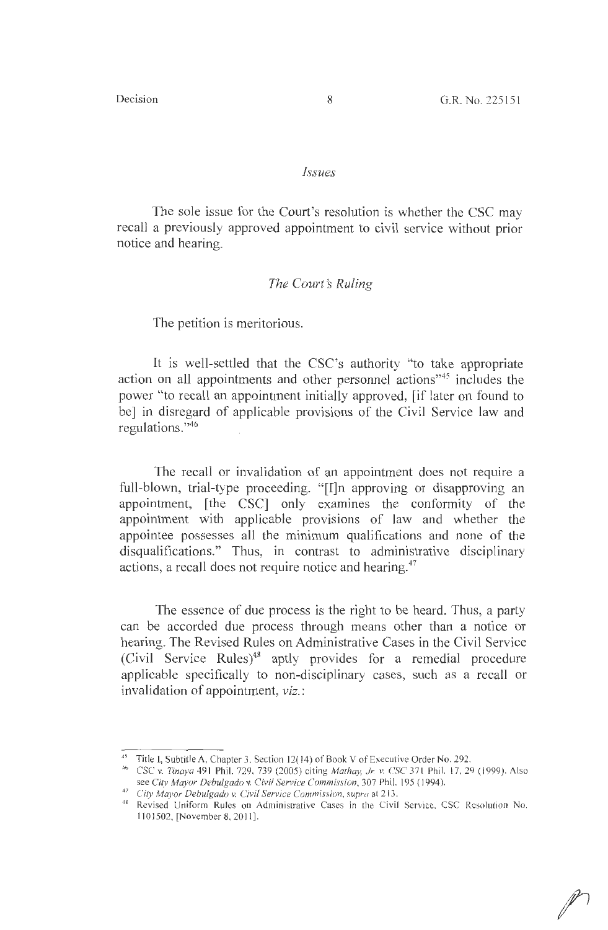#### *Issues*

The sole issue for the Court's resolution is whether the CSC may recall a previously approved appointment to civil service without prior notice and hearing.

### *The Court's Ruling*

The petition is meritorious.

It is well-settled that the CSC's authority "to take appropriate action on all appointments and other personnel actions<sup>345</sup> includes the power "to recall an appointment initially approved, [if later on found to be] in disregard of applicable provisions of the Civil Service law and regulations."<sup>46</sup>

The recall or invalidation of an appointment does not require a full-blown, trial-type proceeding. "[I]n approving or disapproving an appointment, [the CSC] only examines the conformity of the appointment with applicable provisions of law and whether the appointee possesses all the minimum qualifications and none of the disqualifications." Thus, in contrast to administrative disciplinary actions, a recall does not require notice and hearing.<sup>47</sup>

The essence of due process is the right to be heard. Thus, a party can be accorded due process through means other than a notice or hearing. The Revised Rules on Administrative Cases in the Civil Service (Civil Service Rules)48 aptly provides for a remedial procedure applicable specifically to non-disciplinary cases, such as a recall or invalidation of appointment, *viz.:* 

<sup>&</sup>lt;sup>45</sup> Title I, Subtitle A, Chapter 3, Section 12(14) of Book V of Executive Order No. 292.

<sup>&</sup>lt;sup>46</sup> CSC v. Tinaya 491 Phil. 729, 739 (2005) citing *Mathay, Jr. v. CSC* 371 Phil. 17, 29 (1999). Also see *City Mayor Debulgado v. Civil Service Commission*, 307 Phil. 195 (1994).<br><sup>47</sup> *City Mayor Debulgado v. Civil Service Commission, supra* at 213.

<sup>&</sup>lt;sup>48</sup> Revised Uniform Rules on Administrative Cases in the Civil Service, CSC Resolution No. 1101502, [November 8, 2011].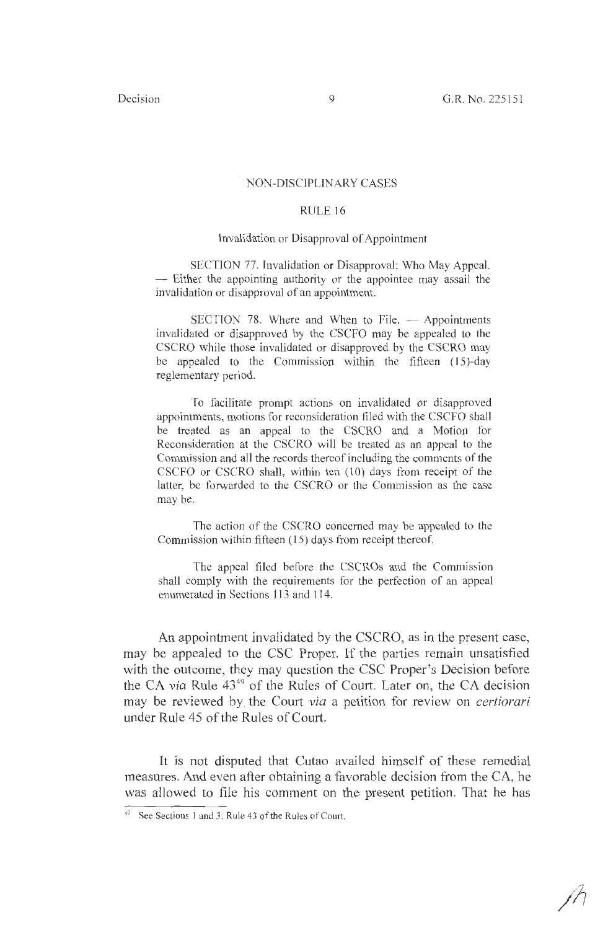#### NON-DISCIPLINARY CASES

### RULE<sub>16</sub>

# Invalidation or Disapproval of Appointment

SECTION 77. Invalidation or Disapproval; Who May Appeal. - Either the appointing authority or the appointee may assail the invalidation or disapproval of an appointment.

 $SECTION 78$ . Where and When to File.  $\longrightarrow$  Appointments invalidated or disapproved by the CSCFO may be appealed to the CSCRO while those invalidated or disapproved by the CSCRO may be appealed to the Commission within the fifteen (15)-day reglementary period.

To facilitate prompt actions on invalidated or disapproved appointments, motions for reconsideration filed with the CSCFO shall be treated as an appeal to the CSCRO and a Motion for Reconsideration at the CSCRO will be treated as an appeal to the Commission and all the records thereof including the comments of the CSCFO or CSCRO shall, within ten (10) days from receipt of the latter, be forwarded to the CSCRO or the Commission as the case may be.

The action of the CSCRO concerned may be appealed to the Commission within fifteen (15) days from receipt thereof.

The appeal filed before the CSCROs and the Commission shall comply with the requirements for the perfection of an appeal enumerated in Sections 113 and 114.

An appointment invalidated by the CSCRO, as in the present case, may be appealed to the CSC Proper. If the parties remain unsatisfied with the outcome, they may question the CSC Proper's Decision before the CA *via* Rule 43<sup>49</sup> of the Rules of Court. Later on, the CA decision may be reviewed by the Court *via* a petition for review on *certiorari*  under Rule 45 of the Rules of Court.

It is not disputed that Cutao availed himself of these remedial measures. And even after obtaining a favorable decision from the CA, he was allowed to file his comment on the present petition. That he has

<sup>49</sup> See Sections I and 3, Rule 43 of the Rules of Court.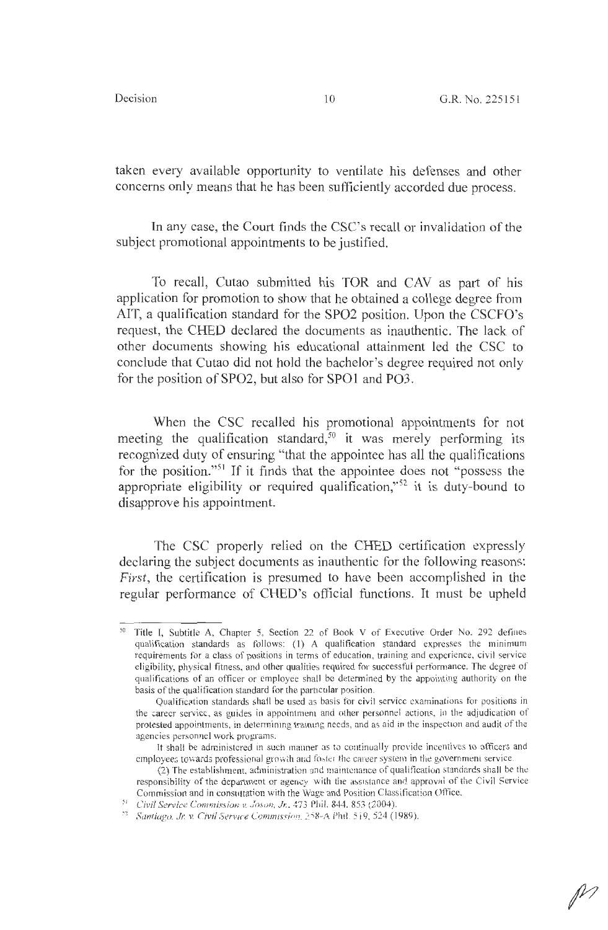taken every available opportunity to ventilate his defenses and other concerns only means that he has been sufficiently accorded due process.

In any case, the Court finds the CSC's recall or invalidation of the subject promotional appointments to be justified.

To recall, Cutao submitted his TOR and CAY as part of his application for promotion to show that he obtained a college degree from AIT, a qualification standard for the SP02 position. Upon the CSCFO's request, the CHED declared the documents as inauthentic. The lack of other documents showing his educational attainment led the CSC to conclude that Cutao did not hold the bachelor's degree required not only for the position of SPO2, but also for SPO1 and PO3.

When the CSC recalled his promotional appointments for not meeting the qualification standard, $50$  it was merely performing its recognized duty of ensuring "that the appointee has all the qualifications for the position."<sup>51</sup> If it finds that the appointee does not "possess the appropriate eligibility or required qualification,"<sup>52</sup> it is duty-bound to disapprove his appointment.

The CSC properly relied on the CHED certification expressly declaring the subject documents as inauthentic for the following reasons: *First,* the certification is presumed to have been accomplished in the regular performance of CHED's official functions. It must be upheld

<sup>50</sup> Title I, Subtitle A, Chapter 5, Section 22 of Book V of Executive Order No. 292 defines qualification standards as follows: (I) A qualification standard expresses the minimum requirements for a class of positions in terms of education, training and experience, civil service eligibility, physical fitness, and other qualities required for successful performance. The degree of qualifications of an officer or employee shall be determined by the appointing authority on the basis of the qualification standard for the particular position.

Qualification standards shall be used as basis for civil service examinations for positions in the career service, as guides in appointment and other personnel actions, in the adjudication of protested appointments, in determining training needs, and a5 aid in the inspection and audit of the agencies personnel work programs.

It shall be administered in such manner as to continually provide incentives to officers and employees towards professional growth and foster the career system in the government service.

 $(2)$  The establishment, administration and maintenance of qualification standards shall be the responsibility of the department or agency, with the assistance and approval of the Civil Service Commission and in consultation with the Wage and Position Classification Office.

<sup>&</sup>lt;sup>51</sup> Civil Service Commission v. Joson, Jr., 473 Phil. 844. 853 (2004).

**<sup>.</sup> ci** *Santiagv. Ji:* **V,** *Civil Serv1r·e* **c:01J11111ssirH?~** *2* **)X-/\ Phil.** *5* i **9, 524 ( 1989).**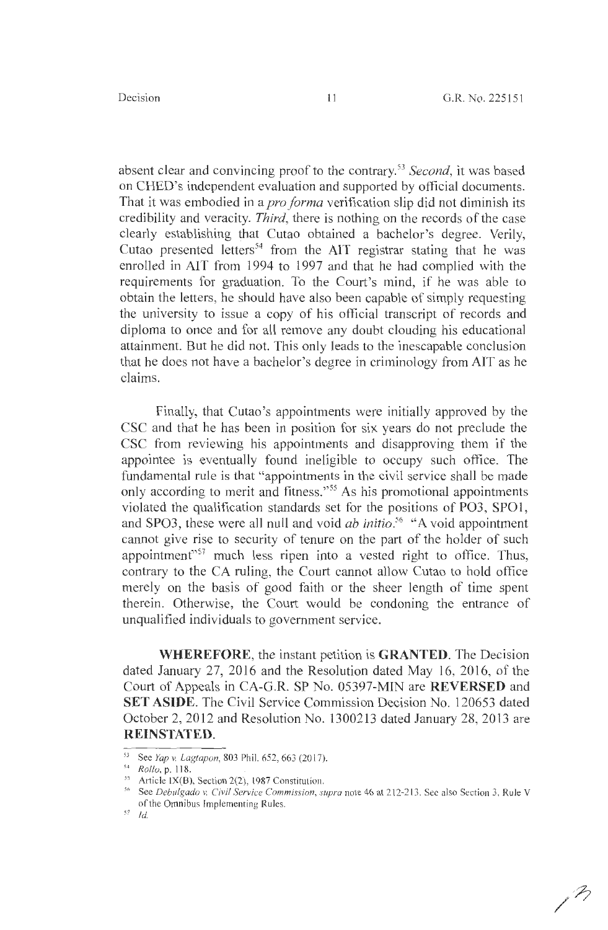absent clear and convincing proof to the contrary. <sup>53</sup>*Second,* it was based on CHED's independent evaluation and supported by official documents. That it was embodied in a *pro forma* verification slip did not diminish its credibility and veracity. *Third,* there is nothing on the records of the case clearly establishing that Cutao obtained a bachelor's degree. Verily, Cutao presented letters<sup>54</sup> from the AIT registrar stating that he was enrolled in AIT from 1994 to 1997 and that he had complied with the requirements for graduation. To the Court's mind, if he was able to obtain the letters, he should have also been capable of simply requesting the university to issue a copy of his official transcript of records and diploma to once and for all remove any doubt clouding his educational attainment. But he did not. This only leads to the inescapable conclusion that he does not have a bachelor's degree in criminology from AIT as he claims.

Finally, that Cutao's appointments were initially approved by the CSC and that he has been in position for six years do not preclude the CSC from reviewing his appointments and disapproving them if the appointee is eventually found ineligible to occupy such office. The fundamental rule is that "appointments in the civil service shall be made only according to merit and fitness."<sup>55</sup> As his promotional appointments violated the qualification standards set for the positions of PO3, SPOl , and SPO3, these were all null and void *ab initio. <sup>56</sup>*"A void appointment cannot give rise to security of tenure on the part of the holder of such appointment"<sup>57</sup> much less ripen into a vested right to office. Thus, contrary to the CA ruling, the Court cannot allow Cutao to hold office merely on the basis of good faith or the sheer length of time spent therein. Otherwise, the Court would be condoning the entrance of unqualified individuals to government service.

**WHEREFORE,** the instant petition is **GRANTED.** The Decision dated January 27, 2016 and the Resolution dated May 16, 2016, of the Court of Appeals in CA-G.R. SP No. 05397-MIN are **REVERSED** and **SET ASIDE.** The Civil Service Commission Decision No. 120653 dated October 2, 2012 and Resolution No. 1300213 dated January 28, 2013 are **REINSTATED.** 

<sup>53</sup> See *Yap* v. *<sup>l</sup> agtapon,* 803 Phil. 652, 663 (201 7). 54 *Rollo,* p. 11 8.

 $55$  Article IX(B), Section 2(2), 1987 Constitution.

<sup>&</sup>lt;sup>56</sup> See *Debulgado v. Civil Service Commission, supra* note 46 at 212-213. See also Section 3, Rule V of the Omnibus Implementing Rules.

*<sup>51</sup>* Id.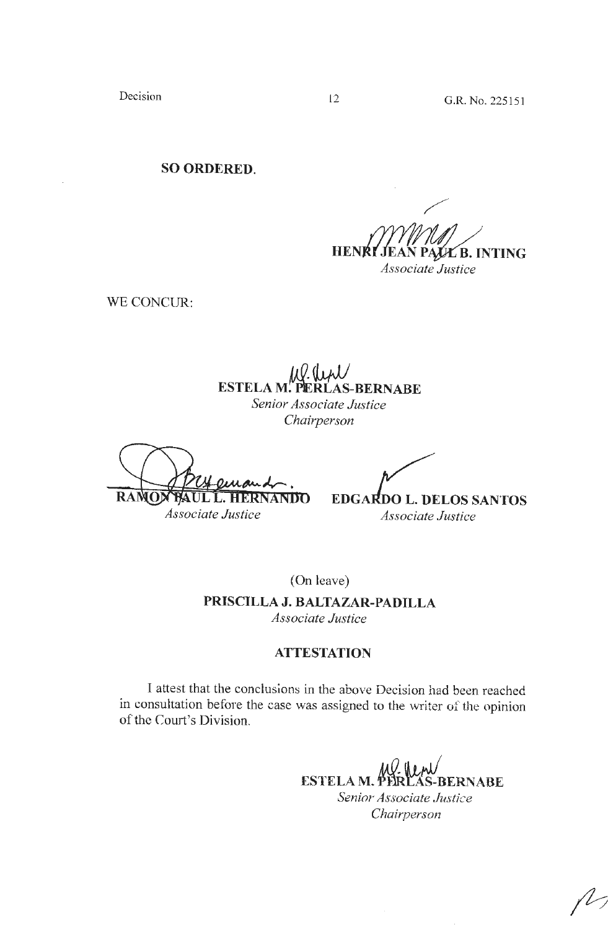Decision 12 G.R. No. 225151

**SO ORDERED.** 

**HENR** ∉E B. INTING *Associate Justice* 

WE CONCUR:

**ESTELA M. PERLAS-BERNABE** 

*Senior Associate Justice Chairperson* 

RANOX UL L. HERNANDO

**EDGARDO L. DELOS SANTOS** 

*Associate Justice* 

*Associate Justice* 

(On leave) **PRISCILLA J. BALTAZAR-PADILLA**  *Associate Justice* 

# **ATTESTATION**

I attest that the conclusions in the above Decision had been reached in consultation before the case was assigned to the writer of the opinion of the Court's Division.

> **ESTELA M. PERLAS-BERNABE** *Senior Associate Just;ce Chairperson*